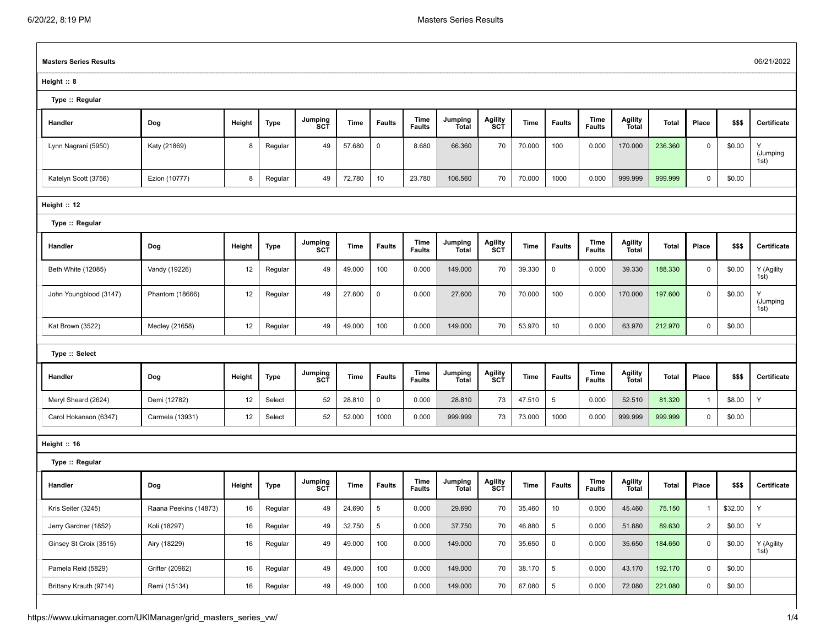$\Gamma$ 

| <b>Masters Series Results</b> |                       |        |         |                |        |               |                       |                         |                |        |                     |                       |                                | 06/21/2022 |                |         |                       |
|-------------------------------|-----------------------|--------|---------|----------------|--------|---------------|-----------------------|-------------------------|----------------|--------|---------------------|-----------------------|--------------------------------|------------|----------------|---------|-----------------------|
| Height:: 8                    |                       |        |         |                |        |               |                       |                         |                |        |                     |                       |                                |            |                |         |                       |
| Type :: Regular               |                       |        |         |                |        |               |                       |                         |                |        |                     |                       |                                |            |                |         |                       |
| Handler                       | Dog                   | Height | Type    | Jumping<br>SCT | Time   | <b>Faults</b> | Time<br><b>Faults</b> | Jumping<br><b>Total</b> | Agility<br>SCT | Time   | <b>Faults</b>       | Time<br><b>Faults</b> | Agility<br>Total               | Total      | Place          | \$\$\$  | Certificate           |
| Lynn Nagrani (5950)           | Katy (21869)          | 8      | Regular | 49             | 57.680 | $\mathbf 0$   | 8.680                 | 66.360                  | 70             | 70.000 | 100                 | 0.000                 | 170.000                        | 236.360    | 0              | \$0.00  | Y<br>(Jumping<br>1st) |
| Katelyn Scott (3756)          | Ezion (10777)         | 8      | Regular | 49             | 72.780 | 10            | 23.780                | 106.560                 | 70             | 70.000 | 1000                | 0.000                 | 999.999                        | 999.999    | $\mathbf 0$    | \$0.00  |                       |
| Height :: 12                  |                       |        |         |                |        |               |                       |                         |                |        |                     |                       |                                |            |                |         |                       |
| Type :: Regular               |                       |        |         |                |        |               |                       |                         |                |        |                     |                       |                                |            |                |         |                       |
| Handler                       | Dog                   | Height | Type    | Jumping<br>SCT | Time   | <b>Faults</b> | Time<br><b>Faults</b> | Jumping<br><b>Total</b> | Agility<br>SCT | Time   | <b>Faults</b>       | Time<br><b>Faults</b> | <b>Agility</b><br><b>Total</b> | Total      | Place          | \$\$\$  | Certificate           |
| Beth White (12085)            | Vandy (19226)         | 12     | Regular | 49             | 49.000 | 100           | 0.000                 | 149.000                 | 70             | 39.330 | 0                   | 0.000                 | 39.330                         | 188.330    | $\mathbf 0$    | \$0.00  | Y (Agility<br>1st)    |
| John Youngblood (3147)        | Phantom (18666)       | 12     | Regular | 49             | 27.600 | $\mathbf 0$   | 0.000                 | 27.600                  | 70             | 70.000 | 100                 | 0.000                 | 170.000                        | 197.600    | $\mathbf 0$    | \$0.00  | Y<br>(Jumping<br>1st) |
| Kat Brown (3522)              | Medley (21658)        | 12     | Regular | 49             | 49.000 | 100           | 0.000                 | 149.000                 | 70             | 53.970 | 10                  | 0.000                 | 63.970                         | 212.970    | $\mathbf 0$    | \$0.00  |                       |
| Type :: Select                |                       |        |         |                |        |               |                       |                         |                |        |                     |                       |                                |            |                |         |                       |
|                               |                       |        |         |                |        |               | Time                  |                         |                |        |                     | Time                  |                                |            |                |         |                       |
| Handler                       | Dog                   | Height | Type    | Jumping<br>SCT | Time   | <b>Faults</b> | <b>Faults</b>         | Jumping<br>Total        | Agility<br>SCT | Time   | <b>Faults</b>       | <b>Faults</b>         | Agility<br>Total               | Total      | Place          | \$\$\$  | Certificate           |
| Meryl Sheard (2624)           | Demi (12782)          | 12     | Select  | 52             | 28.810 | $\mathbf 0$   | 0.000                 | 28.810                  | 73             | 47.510 | $5\phantom{.0}$     | 0.000                 | 52.510                         | 81.320     | $\mathbf{1}$   | \$8.00  | Y                     |
| Carol Hokanson (6347)         | Carmela (13931)       | 12     | Select  | 52             | 52.000 | 1000          | 0.000                 | 999.999                 | 73             | 73.000 | 1000                | 0.000                 | 999.999                        | 999.999    | $\mathbf 0$    | \$0.00  |                       |
| Height :: 16                  |                       |        |         |                |        |               |                       |                         |                |        |                     |                       |                                |            |                |         |                       |
| Type :: Regular               |                       |        |         |                |        |               |                       |                         |                |        |                     |                       |                                |            |                |         |                       |
| Handler                       | Dog                   | Height | Type    | Jumping<br>SCT | Time   | <b>Faults</b> | Time<br><b>Faults</b> | Jumping<br><b>Total</b> | Agility<br>SCT | Time   | Faults              | Time<br><b>Faults</b> | Agility<br><b>Total</b>        | Total      | Place          | \$\$\$  | Certificate           |
| Kris Seiter (3245)            | Raana Peekins (14873) | 16     | Regular | 49             | 24.690 | 5             | 0.000                 | 29.690                  | 70             | 35.460 | 10                  | 0.000                 | 45.460                         | 75.150     | -1             | \$32.00 | Y                     |
| Jerry Gardner (1852)          | Koli (18297)          | 16     | Regular | 49             | 32.750 | 5             | 0.000                 | 37.750                  | 70             | 46.880 | $5\phantom{.0}$     | 0.000                 | 51.880                         | 89.630     | $\overline{2}$ | \$0.00  | Y                     |
| Ginsey St Croix (3515)        | Airy (18229)          | 16     | Regular | 49             | 49.000 | 100           | 0.000                 | 149.000                 | 70             | 35.650 | $\mathsf{O}\xspace$ | 0.000                 | 35.650                         | 184.650    | $\mathbf 0$    | \$0.00  | Y (Agility<br>1st)    |
| Pamela Reid (5829)            | Grifter (20962)       | 16     | Regular | 49             | 49.000 | 100           | 0.000                 | 149.000                 | 70             | 38.170 | $5\phantom{.0}$     | 0.000                 | 43.170                         | 192.170    | $\mathsf 0$    | \$0.00  |                       |
| Brittany Krauth (9714)        | Remi (15134)          | 16     | Regular | 49             | 49.000 | 100           | 0.000                 | 149.000                 | 70             | 67.080 | $5\phantom{.0}$     | 0.000                 | 72.080                         | 221.080    | $\mathbf 0$    | \$0.00  |                       |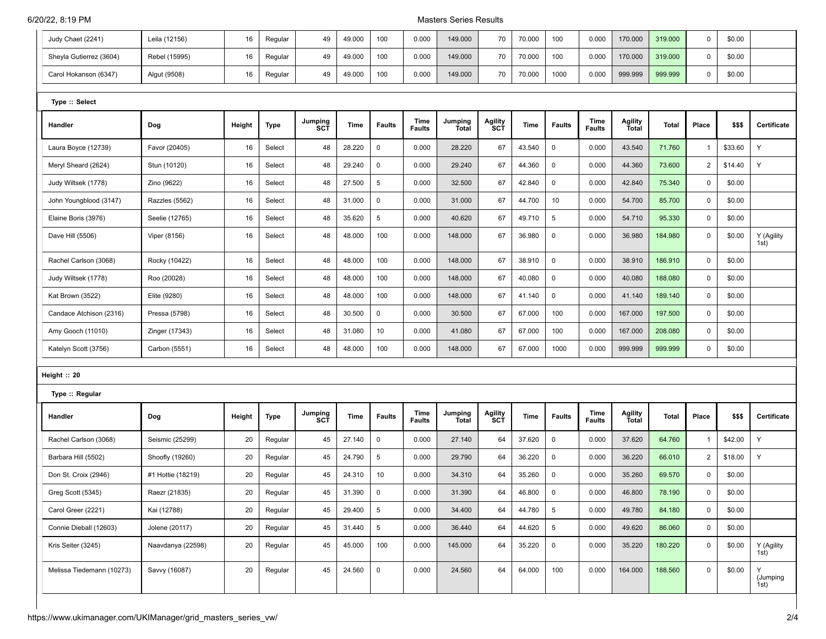## 6/20/22, 8:19 PM Masters Series Results

| Judy Chaet (2241)         | Leila (12156)     | 16     | Regular     | 49                    | 49.000 | 100           | 0.000                 | 149.000                 | 70                    | 70.000 | 100           | 0.000                 | 170.000                        | 319.000      | 0              | \$0.00  |                       |
|---------------------------|-------------------|--------|-------------|-----------------------|--------|---------------|-----------------------|-------------------------|-----------------------|--------|---------------|-----------------------|--------------------------------|--------------|----------------|---------|-----------------------|
| Sheyla Gutierrez (3604)   | Rebel (15995)     | 16     | Regular     | 49                    | 49.000 | 100           | 0.000                 | 149.000                 | 70                    | 70.000 | 100           | 0.000                 | 170.000                        | 319.000      | 0              | \$0.00  |                       |
| Carol Hokanson (6347)     | Algut (9508)      | 16     | Regular     | 49                    | 49.000 | 100           | 0.000                 | 149.000                 | 70                    | 70.000 | 1000          | 0.000                 | 999.999                        | 999.999      | 0              | \$0.00  |                       |
|                           |                   |        |             |                       |        |               |                       |                         |                       |        |               |                       |                                |              |                |         |                       |
| Type :: Select            |                   |        |             |                       |        |               |                       |                         |                       |        |               |                       |                                |              |                |         |                       |
| Handler                   | Dog               | Height | <b>Type</b> | Jumping<br>SCT        | Time   | <b>Faults</b> | Time<br><b>Faults</b> | Jumping<br><b>Total</b> | <b>Agility</b><br>SCT | Time   | <b>Faults</b> | Time<br><b>Faults</b> | <b>Agility</b><br><b>Total</b> | <b>Total</b> | Place          | \$\$\$  | Certificate           |
| Laura Boyce (12739)       | Favor (20405)     | 16     | Select      | 48                    | 28.220 | $\mathbf 0$   | 0.000                 | 28.220                  | 67                    | 43.540 | 0             | 0.000                 | 43.540                         | 71.760       | $\mathbf{1}$   | \$33.60 | Y                     |
| Meryl Sheard (2624)       | Stun (10120)      | 16     | Select      | 48                    | 29.240 | $\mathsf 0$   | 0.000                 | 29.240                  | 67                    | 44.360 | $\pmb{0}$     | 0.000                 | 44.360                         | 73.600       | $\overline{2}$ | \$14.40 | Y                     |
| Judy Wiltsek (1778)       | Zino (9622)       | 16     | Select      | 48                    | 27.500 | 5             | 0.000                 | 32.500                  | 67                    | 42.840 | $\mathsf{O}$  | 0.000                 | 42.840                         | 75.340       | 0              | \$0.00  |                       |
| John Youngblood (3147)    | Razzles (5562)    | 16     | Select      | 48                    | 31.000 | $\mathsf 0$   | 0.000                 | 31.000                  | 67                    | 44.700 | 10            | 0.000                 | 54.700                         | 85.700       | 0              | \$0.00  |                       |
| Elaine Boris (3976)       | Seelie (12765)    | 16     | Select      | 48                    | 35.620 | 5             | 0.000                 | 40.620                  | 67                    | 49.710 | 5             | 0.000                 | 54.710                         | 95.330       | $\pmb{0}$      | \$0.00  |                       |
| Dave Hill (5506)          | Viper (8156)      | 16     | Select      | 48                    | 48.000 | 100           | 0.000                 | 148.000                 | 67                    | 36.980 | $\mathbf 0$   | 0.000                 | 36.980                         | 184.980      | $\mathbf 0$    | \$0.00  | Y (Agility<br>1st)    |
| Rachel Carlson (3068)     | Rocky (10422)     | 16     | Select      | 48                    | 48.000 | 100           | 0.000                 | 148.000                 | 67                    | 38.910 | $\mathsf{O}$  | 0.000                 | 38.910                         | 186.910      | $\mathbf 0$    | \$0.00  |                       |
| Judy Wiltsek (1778)       | Roo (20028)       | 16     | Select      | 48                    | 48.000 | 100           | 0.000                 | 148.000                 | 67                    | 40.080 | $\mathsf 0$   | 0.000                 | 40.080                         | 188.080      | 0              | \$0.00  |                       |
| Kat Brown (3522)          | Elite (9280)      | 16     | Select      | 48                    | 48.000 | 100           | 0.000                 | 148.000                 | 67                    | 41.140 | 0             | 0.000                 | 41.140                         | 189.140      | 0              | \$0.00  |                       |
| Candace Atchison (2316)   | Pressa (5798)     | 16     | Select      | 48                    | 30.500 | $\mathsf 0$   | 0.000                 | 30.500                  | 67                    | 67.000 | 100           | 0.000                 | 167.000                        | 197.500      | $\mathbf 0$    | \$0.00  |                       |
| Amy Gooch (11010)         | Zinger (17343)    | 16     | Select      | 48                    | 31.080 | 10            | 0.000                 | 41.080                  | 67                    | 67.000 | 100           | 0.000                 | 167.000                        | 208.080      | 0              | \$0.00  |                       |
| Katelyn Scott (3756)      | Carbon (5551)     | 16     | Select      | 48                    | 48.000 | 100           | 0.000                 | 148.000                 | 67                    | 67.000 | 1000          | 0.000                 | 999.999                        | 999.999      | 0              | \$0.00  |                       |
|                           |                   |        |             |                       |        |               |                       |                         |                       |        |               |                       |                                |              |                |         |                       |
| Height :: 20              |                   |        |             |                       |        |               |                       |                         |                       |        |               |                       |                                |              |                |         |                       |
| Type :: Regular           |                   |        |             |                       |        |               |                       |                         |                       |        |               |                       |                                |              |                |         |                       |
| Handler                   | Dog               | Height | <b>Type</b> | Jumping<br><b>SCT</b> | Time   | <b>Faults</b> | Time<br><b>Faults</b> | Jumping<br>Total        | <b>Agility</b><br>SCT | Time   | <b>Faults</b> | Time<br><b>Faults</b> | Agility<br><b>Total</b>        | Total        | Place          | \$\$\$  | Certificate           |
| Rachel Carlson (3068)     | Seismic (25299)   | 20     | Regular     | 45                    | 27.140 | $\mathsf 0$   | 0.000                 | 27.140                  | 64                    | 37.620 | $\mathsf{O}$  | 0.000                 | 37.620                         | 64.760       | 1              | \$42.00 | Y                     |
| Barbara Hill (5502)       | Shoofly (19260)   | 20     | Regular     | 45                    | 24.790 | 5             | 0.000                 | 29.790                  | 64                    | 36.220 | 0             | 0.000                 | 36.220                         | 66.010       | $\overline{c}$ | \$18.00 | Y                     |
| Don St. Croix (2946)      | #1 Hottie (18219) | 20     | Regular     | 45                    | 24.310 | 10            | 0.000                 | 34.310                  | 64                    | 35.260 | 0             | 0.000                 | 35.260                         | 69.570       | 0              | \$0.00  |                       |
| Greg Scott (5345)         | Raezr (21835)     | 20     | Regular     | 45                    | 31.390 | $\mathbf 0$   | 0.000                 | 31.390                  | 64                    | 46.800 | $\mathbf 0$   | 0.000                 | 46.800                         | 78.190       | 0              | \$0.00  |                       |
| Carol Greer (2221)        | Kai (12788)       | 20     | Regular     | 45                    | 29.400 | 5             | 0.000                 | 34.400                  | 64                    | 44.780 | 5             | 0.000                 | 49.780                         | 84.180       | 0              | \$0.00  |                       |
| Connie Dieball (12603)    | Jolene (20117)    | 20     | Regular     | 45                    | 31.440 | 5             | 0.000                 | 36.440                  | 64                    | 44.620 | 5             | 0.000                 | 49.620                         | 86.060       | $\pmb{0}$      | \$0.00  |                       |
| Kris Seiter (3245)        | Naavdanya (22598) | 20     | Regular     | 45                    | 45.000 | 100           | 0.000                 | 145.000                 | 64                    | 35.220 | $\mathbf 0$   | 0.000                 | 35.220                         | 180.220      | $\mathbf 0$    | \$0.00  | Y (Agility<br>1st)    |
| Melissa Tiedemann (10273) | Savvy (16087)     | 20     | Regular     | 45                    | 24.560 | $\mathbf 0$   | 0.000                 | 24.560                  | 64                    | 64.000 | 100           | 0.000                 | 164.000                        | 188.560      | $\pmb{0}$      | \$0.00  | Y<br>(Jumping<br>1st) |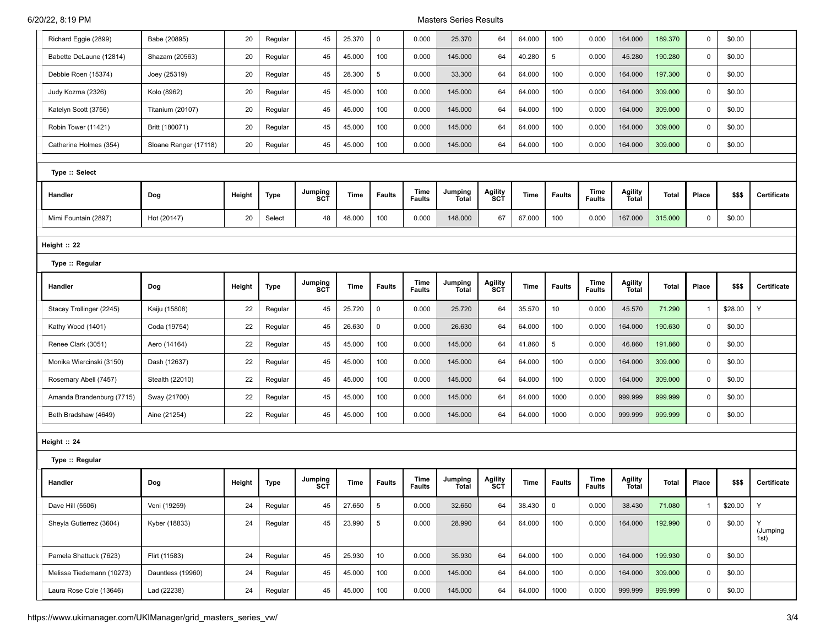## 6/20/22, 8:19 PM Masters Series Results

| Richard Eggie (2899)      | Babe (20895)            | 20     | Regular | 45             | 25.370 | $\mathsf 0$   | 0.000                 | 25.370                  | 64                    | 64.000 | 100           | 0.000                 | 164.000                 | 189.370      | $\mathbf 0$  | \$0.00  |                       |
|---------------------------|-------------------------|--------|---------|----------------|--------|---------------|-----------------------|-------------------------|-----------------------|--------|---------------|-----------------------|-------------------------|--------------|--------------|---------|-----------------------|
| Babette DeLaune (12814)   | Shazam (20563)          | 20     | Regular | 45             | 45.000 | 100           | 0.000                 | 145.000                 | 64                    | 40.280 | 5             | 0.000                 | 45.280                  | 190.280      | 0            | \$0.00  |                       |
| Debbie Roen (15374)       | Joey (25319)            | 20     | Regular | 45             | 28.300 | 5             | 0.000                 | 33.300                  | 64                    | 64.000 | 100           | 0.000                 | 164.000                 | 197.300      | 0            | \$0.00  |                       |
| Judy Kozma (2326)         | Kolo (8962)             | 20     | Regular | 45             | 45.000 | 100           | 0.000                 | 145.000                 | 64                    | 64.000 | 100           | 0.000                 | 164.000                 | 309.000      | $\mathbf 0$  | \$0.00  |                       |
| Katelyn Scott (3756)      | <b>Titanium (20107)</b> | 20     | Regular | 45             | 45.000 | 100           | 0.000                 | 145.000                 | 64                    | 64.000 | 100           | 0.000                 | 164.000                 | 309.000      | $\mathbf 0$  | \$0.00  |                       |
| Robin Tower (11421)       | Britt (180071)          | 20     | Regular | 45             | 45.000 | 100           | 0.000                 | 145.000                 | 64                    | 64.000 | 100           | 0.000                 | 164.000                 | 309.000      | 0            | \$0.00  |                       |
| Catherine Holmes (354)    | Sloane Ranger (17118)   | 20     | Regular | 45             | 45.000 | 100           | 0.000                 | 145.000                 | 64                    | 64.000 | 100           | 0.000                 | 164.000                 | 309.000      | 0            | \$0.00  |                       |
| Type :: Select            |                         |        |         |                |        |               |                       |                         |                       |        |               |                       |                         |              |              |         |                       |
|                           |                         |        |         |                |        |               |                       |                         |                       |        |               |                       |                         |              |              |         |                       |
| Handler                   | Dog                     | Height | Type    | Jumping<br>SCT | Time   | <b>Faults</b> | Time<br><b>Faults</b> | Jumping<br>Total        | Agility<br><b>SCT</b> | Time   | <b>Faults</b> | Time<br><b>Faults</b> | Agility<br>Total        | <b>Total</b> | Place        | \$\$\$  | Certificate           |
| Mimi Fountain (2897)      | Hot (20147)             | 20     | Select  | 48             | 48.000 | 100           | 0.000                 | 148.000                 | 67                    | 67.000 | 100           | 0.000                 | 167.000                 | 315.000      | 0            | \$0.00  |                       |
| Height :: 22              |                         |        |         |                |        |               |                       |                         |                       |        |               |                       |                         |              |              |         |                       |
| Type :: Regular           |                         |        |         |                |        |               |                       |                         |                       |        |               |                       |                         |              |              |         |                       |
|                           |                         |        |         |                |        |               | Time                  | Jumping                 |                       |        |               | Time                  |                         |              |              |         |                       |
| Handler                   | Dog                     | Height | Type    | Jumping<br>SCT | Time   | <b>Faults</b> | <b>Faults</b>         | Total                   | <b>Agility</b><br>SCT | Time   | <b>Faults</b> | <b>Faults</b>         | Agility<br>Total        | Total        | Place        | \$\$\$  | Certificate           |
| Stacey Trollinger (2245)  | Kaiju (15808)           | 22     | Regular | 45             | 25.720 | $\mathsf 0$   | 0.000                 | 25.720                  | 64                    | 35.570 | 10            | 0.000                 | 45.570                  | 71.290       | 1            | \$28.00 | Υ                     |
| Kathy Wood (1401)         | Coda (19754)            | 22     | Regular | 45             | 26.630 | $\mathsf 0$   | 0.000                 | 26.630                  | 64                    | 64.000 | 100           | 0.000                 | 164.000                 | 190.630      | $\mathbf 0$  | \$0.00  |                       |
| Renee Clark (3051)        | Aero (14164)            | 22     | Regular | 45             | 45.000 | 100           | 0.000                 | 145.000                 | 64                    | 41.860 | 5             | 0.000                 | 46.860                  | 191.860      | 0            | \$0.00  |                       |
| Monika Wiercinski (3150)  | Dash (12637)            | 22     | Regular | 45             | 45.000 | 100           | 0.000                 | 145.000                 | 64                    | 64.000 | 100           | 0.000                 | 164.000                 | 309.000      | 0            | \$0.00  |                       |
| Rosemary Abell (7457)     | Stealth (22010)         | 22     | Regular | 45             | 45.000 | 100           | 0.000                 | 145.000                 | 64                    | 64.000 | 100           | 0.000                 | 164.000                 | 309.000      | 0            | \$0.00  |                       |
| Amanda Brandenburg (7715) | Sway (21700)            | 22     | Regular | 45             | 45.000 | 100           | 0.000                 | 145.000                 | 64                    | 64.000 | 1000          | 0.000                 | 999.999                 | 999.999      | 0            | \$0.00  |                       |
| Beth Bradshaw (4649)      | Aine (21254)            | 22     | Regular | 45             | 45.000 | 100           | 0.000                 | 145.000                 | 64                    | 64.000 | 1000          | 0.000                 | 999.999                 | 999.999      | 0            | \$0.00  |                       |
| Height :: 24              |                         |        |         |                |        |               |                       |                         |                       |        |               |                       |                         |              |              |         |                       |
| Type :: Regular           |                         |        |         |                |        |               |                       |                         |                       |        |               |                       |                         |              |              |         |                       |
| Handler                   | Dog                     | Height | Type    | Jumping<br>SCT | Time   | <b>Faults</b> | Time<br>Faults        | Jumping<br><b>Total</b> | Agility<br><b>SCT</b> | Time   | <b>Faults</b> | Time<br><b>Faults</b> | Agility<br><b>Total</b> | <b>Total</b> | Place        | \$\$\$  | Certificate           |
| Dave Hill (5506)          | Veni (19259)            | 24     | Regular | 45             | 27.650 | 5             | 0.000                 | 32.650                  | 64                    | 38.430 | $\mathsf 0$   | 0.000                 | 38.430                  | 71.080       | $\mathbf{1}$ | \$20.00 | Y                     |
| Sheyla Gutierrez (3604)   | Kyber (18833)           | 24     | Regular | 45             | 23.990 | 5             | 0.000                 | 28.990                  | 64                    | 64.000 | 100           | 0.000                 | 164.000                 | 192.990      | 0            | \$0.00  | Y<br>(Jumping<br>1st) |
| Pamela Shattuck (7623)    | Flirt (11583)           | 24     | Regular | 45             | 25.930 | 10            | 0.000                 | 35.930                  | 64                    | 64.000 | 100           | 0.000                 | 164.000                 | 199.930      | $\mathsf 0$  | \$0.00  |                       |
| Melissa Tiedemann (10273) | Dauntless (19960)       | 24     | Regular | 45             | 45.000 | 100           | 0.000                 | 145.000                 | 64                    | 64.000 | 100           | 0.000                 | 164.000                 | 309.000      | $\mathsf 0$  | \$0.00  |                       |
| Laura Rose Cole (13646)   | Lad (22238)             | 24     | Regular | 45             | 45.000 | 100           | 0.000                 | 145.000                 | 64                    | 64.000 | 1000          | 0.000                 | 999.999                 | 999.999      | 0            | \$0.00  |                       |